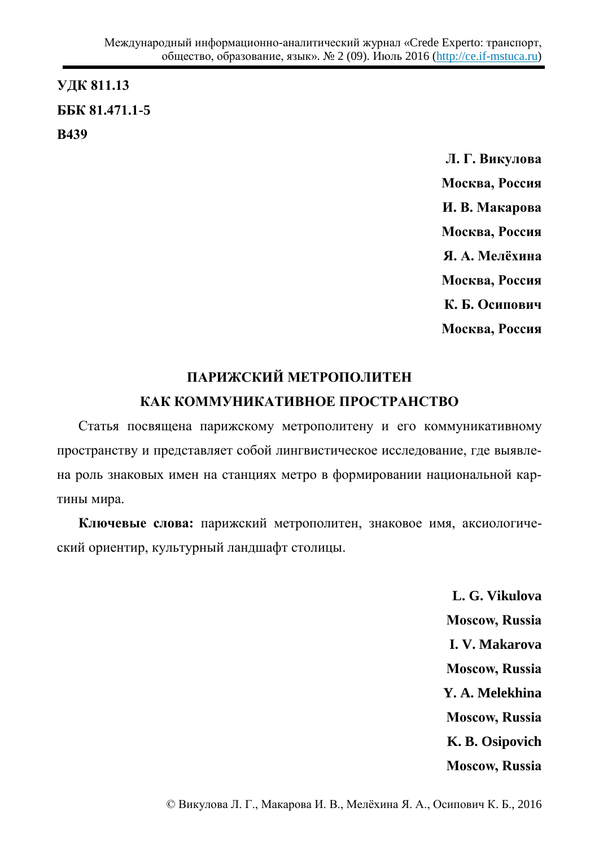# **ɍȾɄ 811.13 ȻȻɄ 81.471.1-5 ȼ439**

**Л. Г. Викулова Москва, Россия И. В. Макарова Москва**, Россия **Я. А. Мелёхина Москва, Россия** К. Б. Осипович **Москва, Россия** 

# ПАРИЖСКИЙ МЕТРОПОЛИТЕН КАК КОММУНИКАТИВНОЕ ПРОСТРАНСТВО

Статья посвящена парижскому метрополитену и его коммуникативному пространству и представляет собой лингвистическое исследование, где выявлена роль знаковых имен на станциях метро в формировании национальной картины мира.

Ключевые слова: парижский метрополитен, знаковое имя, аксиологический ориентир, культурный ландшафт столицы.

> **L. G. Vikulova Moscow, Russia I. V. Makarova Moscow, Russia Y. A. Melekhina Moscow, Russia K. B. Osipovich Moscow, Russia**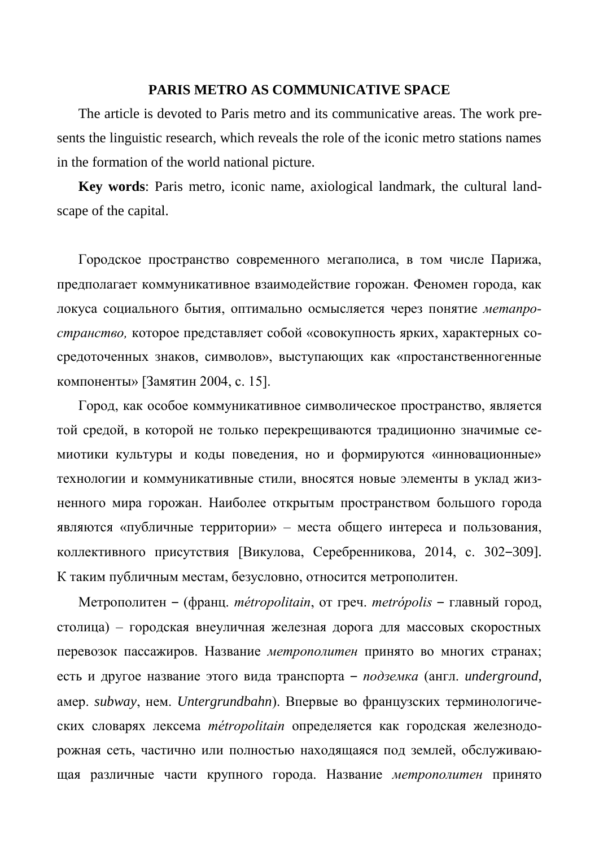### **PARIS METRO AS COMMUNICATIVE SPACE**

The article is devoted to Paris metro and its communicative areas. The work presents the linguistic research, which reveals the role of the iconic metro stations names in the formation of the world national picture.

**Key words**: Paris metro, iconic name, axiological landmark, the cultural landscape of the capital.

Городское пространство современного мегаполиса, в том числе Парижа, предполагает коммуникативное взаимодействие горожан. Феномен города, как локуса социального бытия, оптимально осмысляется через понятие метапро*странство*, которое представляет собой «совокупность ярких, характерных сосредоточенных знаков, символов», выступающих как «простанственногенные компоненты» [Замятин 2004, с. 15].

Город, как особое коммуникативное символическое пространство, является той средой, в которой не только перекрещиваются традиционно значимые семиотики культуры и коды поведения, но и формируются «инновационные» технологии и коммуникативные стили, вносятся новые элементы в уклад жизненного мира горожан. Наиболее открытым пространством большого города являются «публичные территории» – места общего интереса и пользования, коллективного присутствия [Викулова, Серебренникова, 2014, с. 302–309]. К таким публичным местам, безусловно, относится метрополитен.

Метрополитен – (франц. *métropolitain*, от греч. *metrópolis* – главный город, столица) – городская внеуличная железная дорога для массовых скоростных перевозок пассажиров. Название метрополитен принято во многих странах; есть и другое название этого вида транспорта - подземка (англ. *underground*, амер. *subway*, нем. *Untergrundbahn*). Впервые во французских терминологических словарях лексема *métropolitain* определяется как городская железнодорожная сеть, частично или полностью находящаяся под землей, обслуживающая различные части крупного города. Название метрополитен принято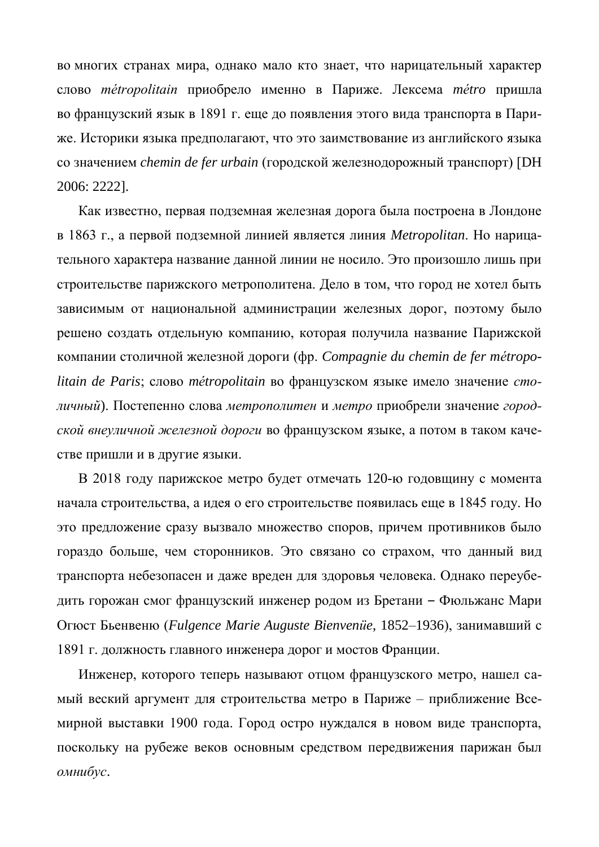во многих странах мира, однако мало кто знает, что нарицательный характер слово *métropolitain* приобрело именно в Париже. Лексема *métro* пришла во французский язык в 1891 г. еще до появления этого вида транспорта в Париже. Историки языка предполагают, что это заимствование из английского языка со значением *chemin de fer urbain* (городской железнодорожный транспорт) [DH 2006: 2222].

Как известно, первая подземная железная дорога была построена в Лондоне в 1863 г., а первой подземной линией является линия *Metropolitan*. Но нарицательного характера название данной линии не носило. Это произошло лишь при строительстве парижского метрополитена. Дело в том, что город не хотел быть зависимым от национальной администрации железных дорог, поэтому было решено создать отдельную компанию, которая получила название Парижской ɤɨɦɩɚɧɢɢ ɫɬɨɥɢɱɧɨɣ ɠɟɥɟɡɧɨɣ ɞɨɪɨɝɢ (ɮɪ. *Compagnie du chemin de fer mцtropolitain de Paris*; слово *métropolitain* во французском языке имело значение *сто*дичный). Постепенно слова метрополитен и метро приобрели значение *город*ской внеуличной железной дороги во французском языке, а потом в таком качестве пришли и в другие языки.

В 2018 году парижское метро будет отмечать 120-ю годовщину с момента начала строительства, а идея о его строительстве появилась еще в 1845 году. Но это предложение сразу вызвало множество споров, причем противников было гораздо больше, чем сторонников. Это связано со страхом, что данный вид транспорта небезопасен и даже вреден для здоровья человека. Однако переубедить горожан смог французский инженер родом из Бретани – Фюльжанс Мари Огюст Бьенвеню (Fulgence Marie Auguste Bienvenüe, 1852–1936), занимавший с 1891 г. должность главного инженера дорог и мостов Франции.

Инженер, которого теперь называют отцом французского метро, нашел самый веский аргумент для строительства метро в Париже – приближение Всемирной выставки 1900 года. Город остро нуждался в новом виде транспорта, поскольку на рубеже веков основным средством передвижения парижан был  $OMHU$ б*ус*.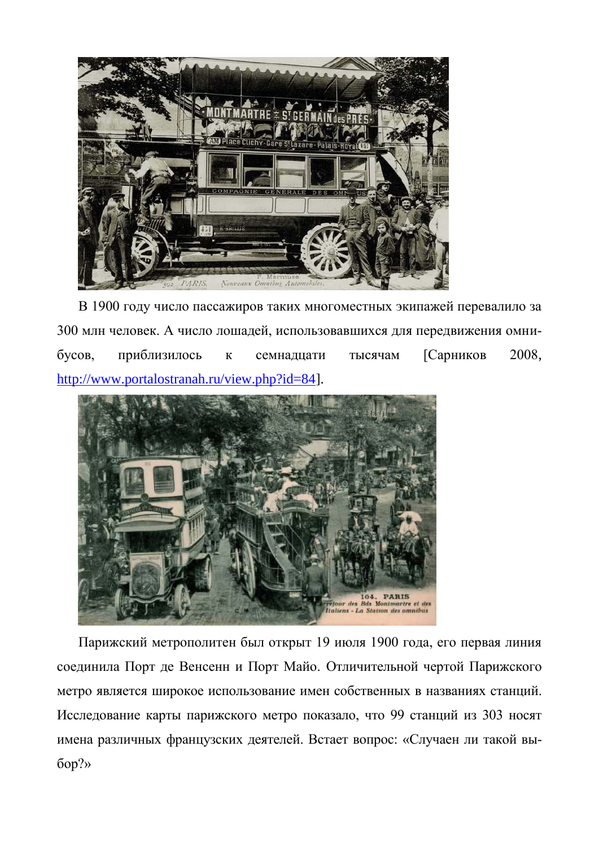

В 1900 году число пассажиров таких многоместных экипажей перевалило за 300 млн человек. А число лошадей, использовавшихся для передвижения омнибусов, приблизилось к семнадцати тысячам [Сарников 2008, [http://www.portalostranah.ru/view.php?id=84\]](http://www.portalostranah.ru/view.php?id=84).



Парижский метрополитен был открыт 19 июля 1900 года, его первая линия соединила Порт де Венсенн и Порт Майо. Отличительной чертой Парижского метро является широкое использование имен собственных в названиях станций. Исследование карты парижского метро показало, что 99 станций из 303 носят имена различных французских деятелей. Встает вопрос: «Случаен ли такой вы- $60p?$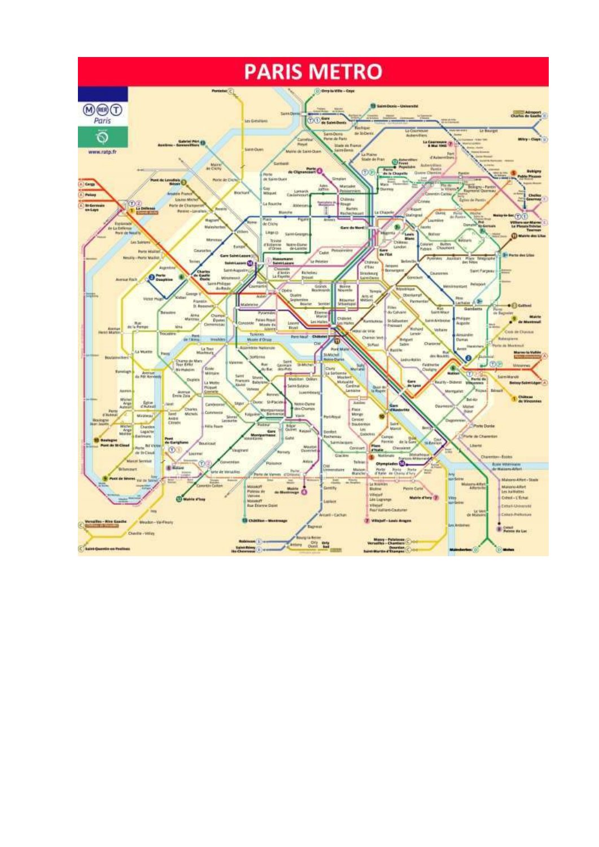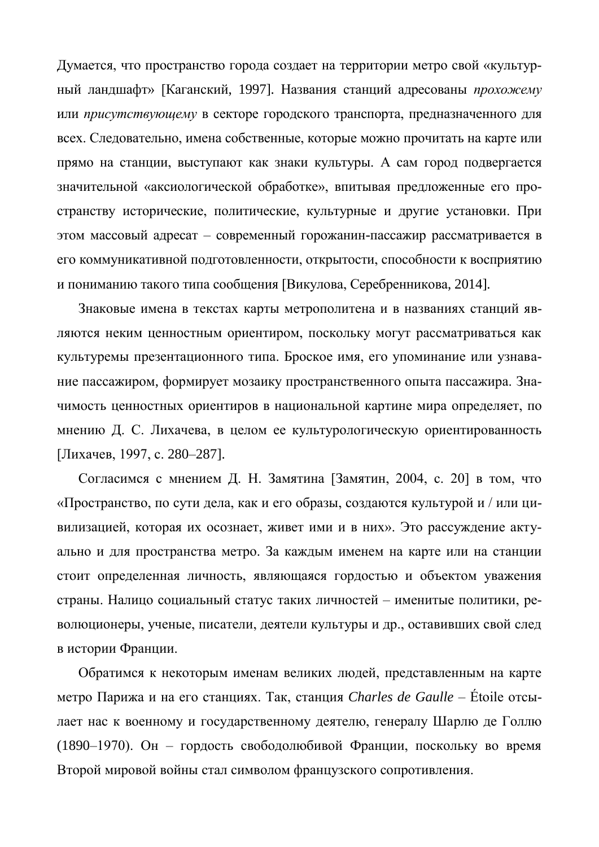Думается, что пространство города создает на территории метро свой «культурный ландшафт» [Каганский, 1997]. Названия станций адресованы прохожему или присутствующему в секторе городского транспорта, предназначенного для всех. Следовательно, имена собственные, которые можно прочитать на карте или прямо на станции, выступают как знаки культуры. А сам город подвергается значительной «аксиологической обработке», впитывая предложенные его пространству исторические, политические, культурные и другие установки. При этом массовый адресат – современный горожанин-пассажир рассматривается в его коммуникативной подготовленности, открытости, способности к восприятию и пониманию такого типа сообщения [Викулова, Серебренникова, 2014].

Знаковые имена в текстах карты метрополитена и в названиях станций являются неким ценностным ориентиром, поскольку могут рассматриваться как культуремы презентационного типа. Броское имя, его упоминание или узнавание пассажиром, формирует мозаику пространственного опыта пассажира. Значимость ценностных ориентиров в национальной картине мира определяет, по мнению Д. С. Лихачева, в целом ее культурологическую ориентированность [Лихачев, 1997, с. 280–287].

Согласимся с мнением Д. Н. Замятина [Замятин, 2004, с. 20] в том, что «Пространство, по сути дела, как и его образы, создаются культурой и / или цивилизацией, которая их осознает, живет ими и в них». Это рассуждение актуально и для пространства метро. За каждым именем на карте или на станции стоит определенная личность, являющаяся гордостью и объектом уважения страны. Налицо социальный статус таких личностей – именитые политики, революционеры, ученые, писатели, деятели культуры и др., оставивших свой след в истории Франции.

Обратимся к некоторым именам великих людей, представленным на карте метро Парижа и на его станциях. Так, станция *Charles de Gaulle* – Étoile отсылает нас к военному и государственному деятелю, генералу Шарлю де Голлю (1890–1970). Он – гордость свободолюбивой Франции, поскольку во время Второй мировой войны стал символом французского сопротивления.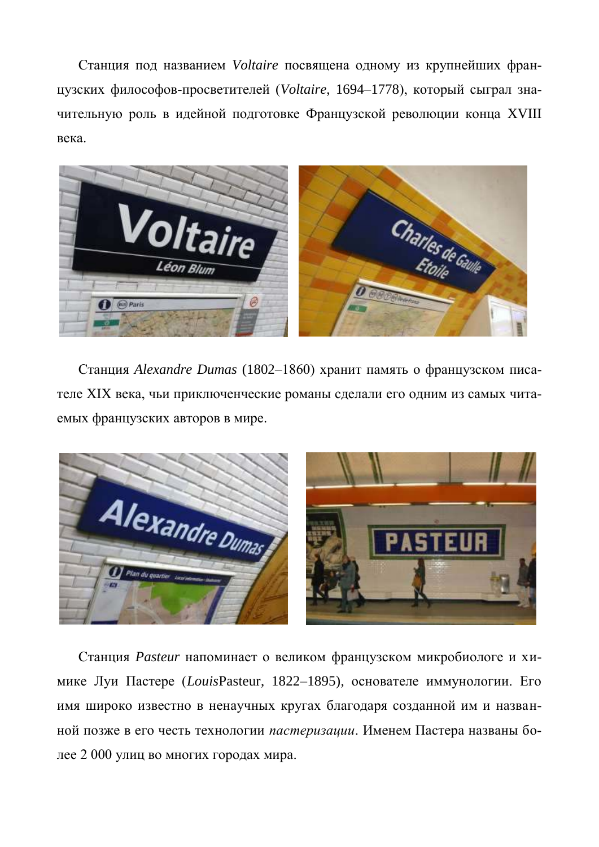Станция под названием Voltaire посвящена одному из крупнейших французских философов-просветителей (Voltaire, 1694–1778), который сыграл значительную роль в идейной подготовке Французской революции конца XVIII века.



Станция *Alexandre Dumas* (1802–1860) хранит память о французском писателе XIX века, чьи приключенческие романы сделали его одним из самых читаемых французских авторов в мире.



Станция Pasteur напоминает о великом французском микробиологе и химике Луи Пастере (*LouisPasteur*, 1822–1895), основателе иммунологии. Его имя широко известно в ненаучных кругах благодаря созданной им и названной позже в его честь технологии *пастеризации*. Именем Пастера названы более 2 000 улиц во многих городах мира.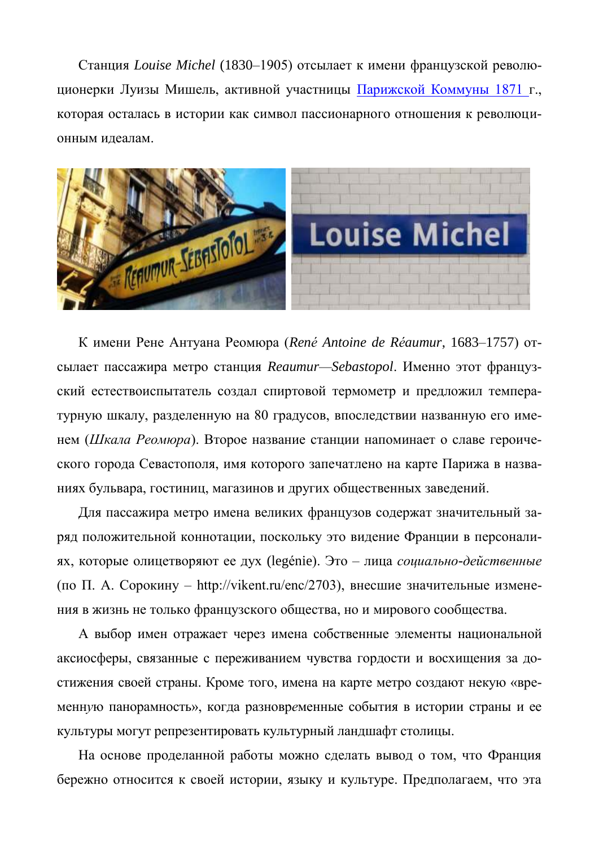Станция *Louise Michel* (1830–1905) отсылает к имени французской революционерки Луизы Мишель, активной участницы Парижской Коммуны 1871 г., которая осталась в истории как символ пассионарного отношения к революционным идеалам.



К имени Рене Антуана Реомюра (René Antoine de Réaumur, 1683–1757) отсылает пассажира метро станция Reaumur—Sebastopol. Именно этот французский естествоиспытатель создал спиртовой термометр и предложил температурную шкалу, разделенную на 80 градусов, впоследствии названную его именем (Шкала Реомюра). Второе название станции напоминает о славе героического города Севастополя, имя которого запечатлено на карте Парижа в названиях бульвара, гостиниц, магазинов и других общественных заведений.

Для пассажира метро имена великих французов содержат значительный заряд положительной коннотации, поскольку это видение Франции в персоналиях, которые олицетворяют ее дух (legénie). Это – лица *социально-действенные* (по П. А. Сорокину – http://vikent.ru/enc/2703), внесшие значительные изменения в жизнь не только французского общества, но и мирового сообщества.

А выбор имен отражает через имена собственные элементы национальной аксиосферы, связанные с переживанием чувства гордости и восхищения за достижения своей страны. Кроме того, имена на карте метро создают некую «временную панорамность», когда разновременные события в истории страны и ее культуры могут репрезентировать культурный ландшафт столицы.

На основе проделанной работы можно сделать вывод о том, что Франция бережно относится к своей истории, языку и культуре. Предполагаем, что эта